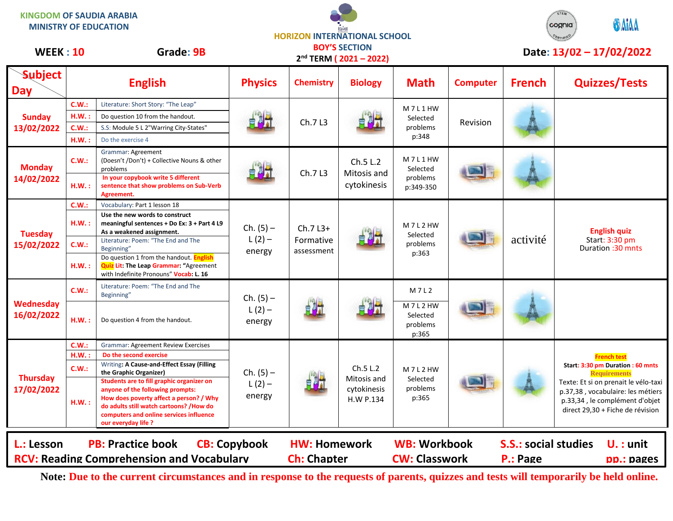| <b>KINGDOM OF SAUDIA ARABIA</b><br><b>MINISTRY OF EDUCATION</b><br><b>WEEK: 10</b><br>Grade: 9B                   |              | <b>HORIZON INTERNATIONAL SCHOOL</b><br><b>BOY'S SECTION</b><br>2 <sup>nd</sup> TERM (2021-2022)                                                                                                                                       |                                   |                                           |                                                     |                                             | STEM<br><b>OMIAA</b><br>cognia<br>Date: 13/02 - 17/02/2022 |                                         |                                                                                                                                                                                                             |
|-------------------------------------------------------------------------------------------------------------------|--------------|---------------------------------------------------------------------------------------------------------------------------------------------------------------------------------------------------------------------------------------|-----------------------------------|-------------------------------------------|-----------------------------------------------------|---------------------------------------------|------------------------------------------------------------|-----------------------------------------|-------------------------------------------------------------------------------------------------------------------------------------------------------------------------------------------------------------|
| <b>Subject</b><br><b>Day</b>                                                                                      |              | <b>English</b>                                                                                                                                                                                                                        | <b>Physics</b>                    | <b>Chemistry</b>                          | <b>Biology</b>                                      | <b>Math</b>                                 | <b>Computer</b>                                            | <b>French</b>                           | <b>Quizzes/Tests</b>                                                                                                                                                                                        |
| <b>Sunday</b><br>13/02/2022                                                                                       | C.W.:        | Literature: Short Story: "The Leap"                                                                                                                                                                                                   |                                   | Ch.7 L3                                   |                                                     | M7L1HW<br>Selected<br>problems<br>p:348     | Revision                                                   |                                         |                                                                                                                                                                                                             |
|                                                                                                                   | <b>H.W.</b>  | Do question 10 from the handout.                                                                                                                                                                                                      |                                   |                                           |                                                     |                                             |                                                            |                                         |                                                                                                                                                                                                             |
|                                                                                                                   | C.W.         | S.S: Module 5 L 2"Warring City-States"                                                                                                                                                                                                |                                   |                                           |                                                     |                                             |                                                            |                                         |                                                                                                                                                                                                             |
|                                                                                                                   | H.W.         | Do the exercise 4                                                                                                                                                                                                                     |                                   |                                           |                                                     |                                             |                                                            |                                         |                                                                                                                                                                                                             |
| <b>Monday</b><br>14/02/2022                                                                                       | C.W.:        | Grammar: Agreement<br>(Doesn't /Don't) + Collective Nouns & other<br>problems                                                                                                                                                         |                                   | Ch.7 L3                                   | Ch.5 L.2<br>Mitosis and<br>cytokinesis              | M7L1HW<br>Selected<br>problems<br>p:349-350 |                                                            |                                         |                                                                                                                                                                                                             |
|                                                                                                                   | $H.W.$ :     | In your copybook write 5 different<br>sentence that show problems on Sub-Verb<br>Agreement.                                                                                                                                           |                                   |                                           |                                                     |                                             |                                                            |                                         |                                                                                                                                                                                                             |
| <b>Tuesday</b><br>15/02/2022                                                                                      | C.W.:        | Vocabulary: Part 1 lesson 18                                                                                                                                                                                                          | $Ch. (5) -$<br>$L(2) -$<br>energy | $Ch.7L3+$<br>Formative<br>assessment      |                                                     | M7L2HW<br>Selected<br>problems<br>p:363     |                                                            | activité                                | <b>English quiz</b><br>Start: 3:30 pm<br>Duration : 30 mnts                                                                                                                                                 |
|                                                                                                                   | H.W.:        | Use the new words to construct<br>meaningful sentences + Do Ex: 3 + Part 4 L9<br>As a weakened assignment.                                                                                                                            |                                   |                                           |                                                     |                                             |                                                            |                                         |                                                                                                                                                                                                             |
|                                                                                                                   | C.W.:        | Literature: Poem: "The End and The<br>Beginning"                                                                                                                                                                                      |                                   |                                           |                                                     |                                             |                                                            |                                         |                                                                                                                                                                                                             |
|                                                                                                                   | H.W.:        | Do question 1 from the handout. English<br><b>Quiz Lit: The Leap Grammar: "Agreement</b><br>with Indefinite Pronouns" Vocab: L. 16                                                                                                    |                                   |                                           |                                                     |                                             |                                                            |                                         |                                                                                                                                                                                                             |
| Wednesday<br>16/02/2022                                                                                           | C.W.:        | Literature: Poem: "The End and The<br>Beginning"                                                                                                                                                                                      | $Ch. (5) -$<br>$L(2) -$<br>energy | 軸                                         |                                                     | M7L2                                        |                                                            |                                         |                                                                                                                                                                                                             |
|                                                                                                                   | H.W.         | Do question 4 from the handout.                                                                                                                                                                                                       |                                   |                                           |                                                     | M7L2HW<br>Selected<br>problems<br>p:365     |                                                            |                                         |                                                                                                                                                                                                             |
|                                                                                                                   | C.W.:        | <b>Grammar: Agreement Review Exercises</b>                                                                                                                                                                                            |                                   |                                           |                                                     |                                             |                                                            |                                         |                                                                                                                                                                                                             |
| <b>Thursday</b><br>17/02/2022                                                                                     | $H.W.$ :     | Do the second exercise                                                                                                                                                                                                                |                                   |                                           |                                                     |                                             |                                                            |                                         | <b>French test</b>                                                                                                                                                                                          |
|                                                                                                                   | <b>C.W.:</b> | Writing: A Cause-and-Effect Essay (Filling<br>the Graphic Organizer)                                                                                                                                                                  | $Ch. (5) -$<br>$L(2) -$<br>energy |                                           | Ch.5 L.2<br>Mitosis and<br>cytokinesis<br>H.W P.134 | M7L2HW<br>Selected<br>problems<br>p:365     |                                                            |                                         | Start: 3:30 pm Duration : 60 mnts<br><b>Requirements</b><br>Texte: Et si on prenait le vélo-taxi<br>p.37,38, vocabulaire: les métiers<br>p.33,34, le complément d'objet<br>direct 29,30 + Fiche de révision |
|                                                                                                                   | H.W.:        | Students are to fill graphic organizer on<br>anyone of the following prompts:<br>How does poverty affect a person? / Why<br>do adults still watch cartoons? /How do<br>computers and online services influence<br>our everyday life ? |                                   |                                           |                                                     |                                             |                                                            |                                         |                                                                                                                                                                                                             |
| <b>PB: Practice book</b><br><b>CB: Copybook</b><br>L.: Lesson<br><b>RCV: Reading Comprehension and Vocabulary</b> |              |                                                                                                                                                                                                                                       |                                   | <b>HW: Homework</b><br><b>Ch: Chapter</b> |                                                     | <b>WB: Workbook</b><br><b>CW: Classwork</b> |                                                            | <b>S.S.: social studies</b><br>P.: Page | $U. :$ unit<br><b>pp.: pages</b>                                                                                                                                                                            |

**Note: Due to the current circumstances and in response to the requests of parents, quizzes and tests will temporarily be held online.**